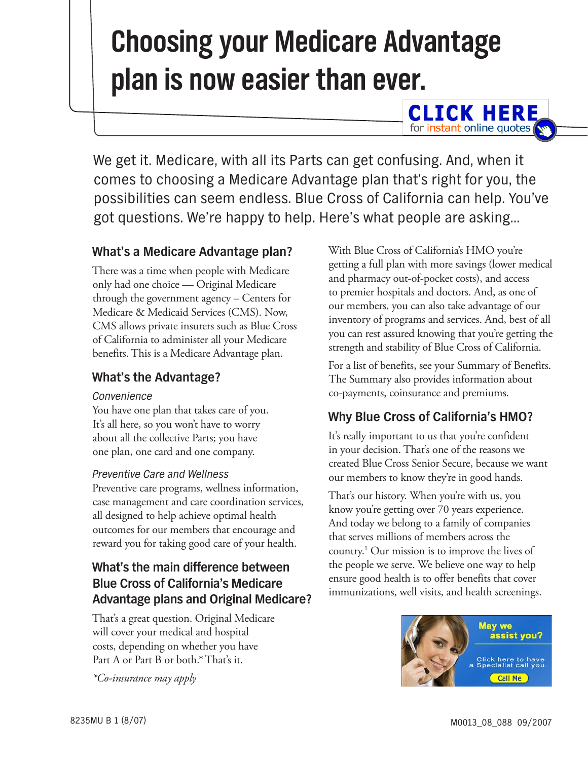# **Choosing your Medicare Advantage plan is now easier than ever.**

We get it. Medicare, with all its Parts can get confusing. And, when it comes to choosing a Medicare Advantage plan that's right for you, the possibilities can seem endless. Blue Cross of California can help. You've got questions. We're happy to help. Here's what people are asking…

# **What's a Medicare Advantage plan?**

There was a time when people with Medicare only had one choice — Original Medicare through the government agency – Centers for Medicare & Medicaid Services (CMS). Now, CMS allows private insurers such as Blue Cross of California to administer all your Medicare benefits. This is a Medicare Advantage plan.

### **What's the Advantage?**

#### *Convenience*

You have one plan that takes care of you. It's all here, so you won't have to worry about all the collective Parts; you have one plan, one card and one company.

#### *Preventive Care and Wellness*

Preventive care programs, wellness information, case management and care coordination services, all designed to help achieve optimal health outcomes for our members that encourage and reward you for taking good care of your health.

# **What's the main difference between Blue Cross of California's Medicare Advantage plans and Original Medicare?**

That's a great question. Original Medicare will cover your medical and hospital costs, depending on whether you have Part A or Part B or both.\* That's it.

*\*Co-insurance may apply*

With Blue Cross of California's HMO you're getting a full plan with more savings (lower medical and pharmacy out-of-pocket costs), and access to premier hospitals and doctors. And, as one of our members, you can also take advantage of our inventory of programs and services. And, best of all you can rest assured knowing that you're getting the strength and stability of Blue Cross of California.

**CLICK HERE** for instant online quotes

For a list of benefits, see your Summary of Benefits. The Summary also provides information about co-payments, coinsurance and premiums.

# **Why Blue Cross of California's HMO?**

It's really important to us that you're confident in your decision. That's one of the reasons we created Blue Cross Senior Secure, because we want our members to know they're in good hands.

That's our history. When you're with us, you know you're getting over 70 years experience. And today we belong to a family of companies that serves millions of members across the country.1 Our mission is to improve the lives of the people we serve. We believe one way to help ensure good health is to offer benefits that cover immunizations, well visits, and health screenings.

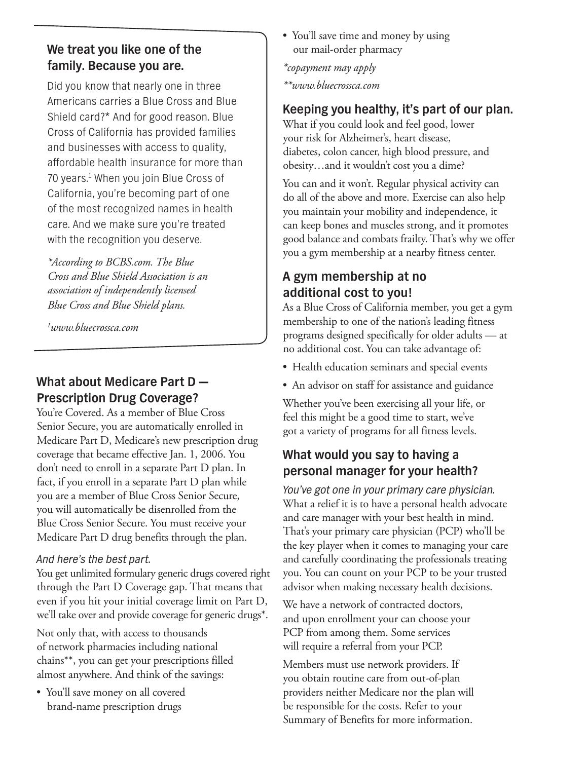# **We treat you like one of the family. Because you are.**

Did you know that nearly one in three Americans carries a Blue Cross and Blue Shield card?\* And for good reason. Blue Cross of California has provided families and businesses with access to quality, affordable health insurance for more than 70 years.<sup>1</sup> When you join Blue Cross of California, you're becoming part of one of the most recognized names in health care. And we make sure you're treated with the recognition you deserve.

*\*According to BCBS.com. The Blue Cross and Blue Shield Association is an association of independently licensed Blue Cross and Blue Shield plans.*

*1 www.bluecrossca.com*

# **What about Medicare Part D — Prescription Drug Coverage?**

You're Covered. As a member of Blue Cross Senior Secure, you are automatically enrolled in Medicare Part D, Medicare's new prescription drug coverage that became effective Jan. 1, 2006. You don't need to enroll in a separate Part D plan. In fact, if you enroll in a separate Part D plan while you are a member of Blue Cross Senior Secure, you will automatically be disenrolled from the Blue Cross Senior Secure. You must receive your Medicare Part D drug benefits through the plan.

#### *And here's the best part.*

You get unlimited formulary generic drugs covered right through the Part D Coverage gap. That means that even if you hit your initial coverage limit on Part D, we'll take over and provide coverage for generic drugs\*.

Not only that, with access to thousands of network pharmacies including national chains\*\*, you can get your prescriptions filled almost anywhere. And think of the savings:

• You'll save money on all covered brand-name prescription drugs

• You'll save time and money by using our mail-order pharmacy

*\*copayment may apply \*\*www.bluecrossca.com*

# **Keeping you healthy, it's part of our plan.**

What if you could look and feel good, lower your risk for Alzheimer's, heart disease, diabetes, colon cancer, high blood pressure, and obesity…and it wouldn't cost you a dime?

You can and it won't. Regular physical activity can do all of the above and more. Exercise can also help you maintain your mobility and independence, it can keep bones and muscles strong, and it promotes good balance and combats frailty. That's why we offer you a gym membership at a nearby fitness center.

# **A gym membership at no additional cost to you!**

As a Blue Cross of California member, you get a gym membership to one of the nation's leading fitness programs designed specifically for older adults — at no additional cost. You can take advantage of:

- Health education seminars and special events
- An advisor on staff for assistance and guidance

Whether you've been exercising all your life, or feel this might be a good time to start, we've got a variety of programs for all fitness levels.

# **What would you say to having a personal manager for your health?**

*You've got one in your primary care physician.*  What a relief it is to have a personal health advocate and care manager with your best health in mind. That's your primary care physician (PCP) who'll be the key player when it comes to managing your care and carefully coordinating the professionals treating you. You can count on your PCP to be your trusted advisor when making necessary health decisions.

We have a network of contracted doctors, and upon enrollment your can choose your PCP from among them. Some services will require a referral from your PCP.

Members must use network providers. If you obtain routine care from out-of-plan providers neither Medicare nor the plan will be responsible for the costs. Refer to your Summary of Benefits for more information.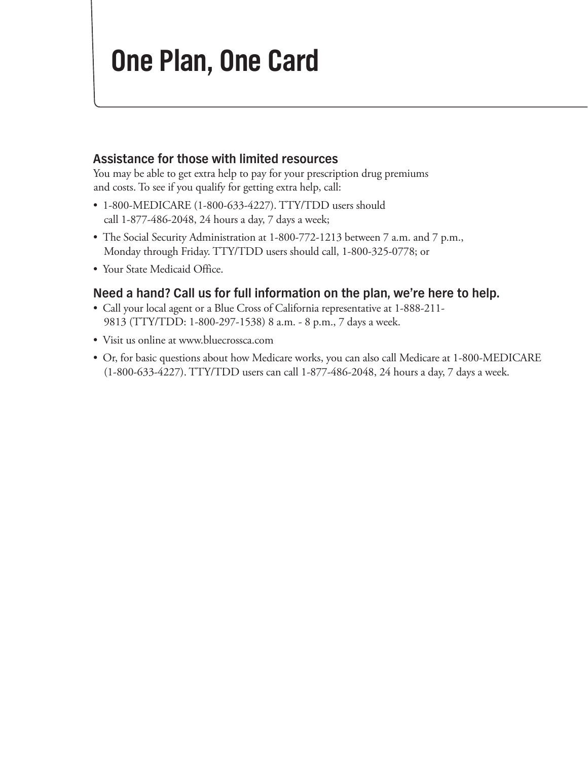# **One Plan, One Card**

#### **Assistance for those with limited resources**

You may be able to get extra help to pay for your prescription drug premiums and costs. To see if you qualify for getting extra help, call:

- 1-800-MEDICARE (1-800-633-4227). TTY/TDD users should call  $1-877-486-2048$ , 24 hours a day, 7 days a week;
- The Social Security Administration at 1-800-772-1213 between 7 a.m. and 7 p.m., Monday through Friday. TTY/TDD users should call, 1-800-325-0778; or
- Your State Medicaid Office.

### **Need a hand? Call us for full information on the plan, we're here to help.**

- Call your local agent or a Blue Cross of California representative at 1-888-211-9813 (TTY/TDD: 1-800-297-1538) 8 a.m. - 8 p.m., 7 days a week.
- Visit us online at www.bluecrossca.com
- Or, for basic questions about how Medicare works, you can also call Medicare at 1-800-MEDICARE (1-800-633-4227). TTY/TDD users can call 1-877-486-2048, 24 hours a day, 7 days a week.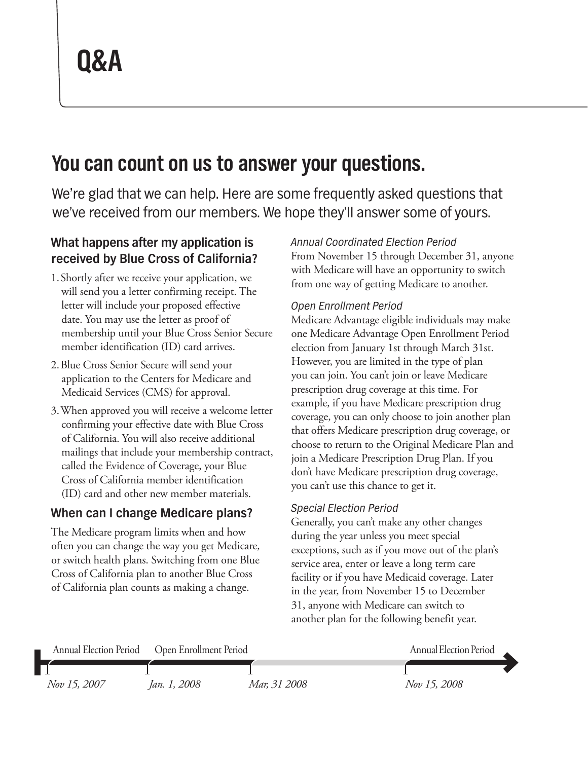# **You can count on us to answer your questions.**

We're glad that we can help. Here are some frequently asked questions that we've received from our members. We hope they'll answer some of yours.

# **What happens after my application is received by Blue Cross of California?**

- 1. Shortly after we receive your application, we will send you a letter confirming receipt. The letter will include your proposed effective date. You may use the letter as proof of membership until your Blue Cross Senior Secure member identification (ID) card arrives.
- 2. Blue Cross Senior Secure will send your application to the Centers for Medicare and Medicaid Services (CMS) for approval.
- 3. When approved you will receive a welcome letter confirming your effective date with Blue Cross of California. You will also receive additional mailings that include your membership contract, called the Evidence of Coverage, your Blue Cross of California member identification (ID) card and other new member materials.

# **When can I change Medicare plans?**

The Medicare program limits when and how often you can change the way you get Medicare, or switch health plans. Switching from one Blue Cross of California plan to another Blue Cross of California plan counts as making a change.

### *Annual Coordinated Election Period*

From November 15 through December 31, anyone with Medicare will have an opportunity to switch from one way of getting Medicare to another.

#### *Open Enrollment Period*

Medicare Advantage eligible individuals may make one Medicare Advantage Open Enrollment Period election from January 1st through March 31st. However, you are limited in the type of plan you can join. You can't join or leave Medicare prescription drug coverage at this time. For example, if you have Medicare prescription drug coverage, you can only choose to join another plan that offers Medicare prescription drug coverage, or choose to return to the Original Medicare Plan and join a Medicare Prescription Drug Plan. If you don't have Medicare prescription drug coverage, you can't use this chance to get it.

#### *Special Election Period*

Generally, you can't make any other changes during the year unless you meet special exceptions, such as if you move out of the plan's service area, enter or leave a long term care facility or if you have Medicaid coverage. Later in the year, from November 15 to December 31, anyone with Medicare can switch to another plan for the following benefit year.

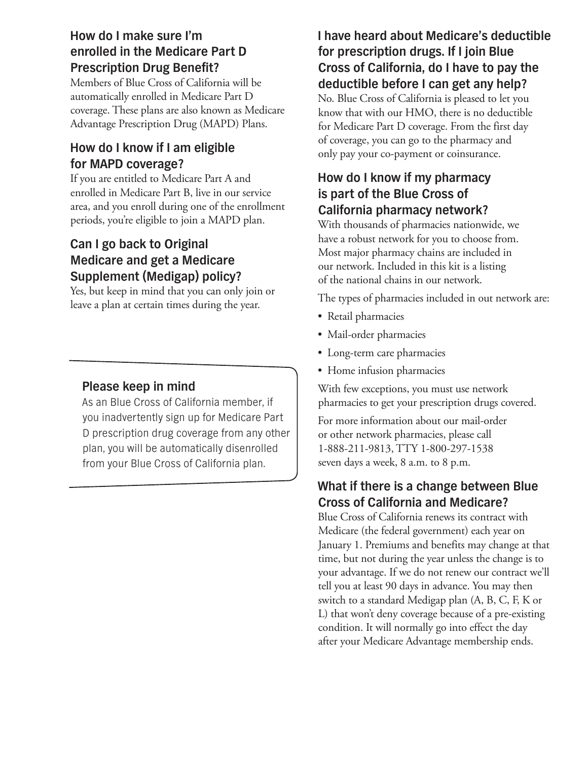# **How do I make sure I'm enrolled in the Medicare Part D Prescription Drug Benefit?**

Members of Blue Cross of California will be automatically enrolled in Medicare Part D coverage. These plans are also known as Medicare Advantage Prescription Drug (MAPD) Plans.

# **How do I know if I am eligible for MAPD coverage?**

If you are entitled to Medicare Part A and enrolled in Medicare Part B, live in our service area, and you enroll during one of the enrollment periods, you're eligible to join a MAPD plan.

# **Can I go back to Original Medicare and get a Medicare Supplement (Medigap) policy?**

Yes, but keep in mind that you can only join or leave a plan at certain times during the year.

# **Please keep in mind**

As an Blue Cross of California member, if you inadvertently sign up for Medicare Part D prescription drug coverage from any other plan, you will be automatically disenrolled from your Blue Cross of California plan.

# **I have heard about Medicare's deductible for prescription drugs. If I join Blue Cross of California, do I have to pay the deductible before I can get any help?**

No. Blue Cross of California is pleased to let you know that with our HMO, there is no deductible for Medicare Part D coverage. From the first day of coverage, you can go to the pharmacy and only pay your co-payment or coinsurance.

# **How do I know if my pharmacy is part of the Blue Cross of California pharmacy network?**

With thousands of pharmacies nationwide, we have a robust network for you to choose from. Most major pharmacy chains are included in our network. Included in this kit is a listing of the national chains in our network.

The types of pharmacies included in out network are:

- Retail pharmacies
- Mail-order pharmacies
- • Long-term care pharmacies
- Home infusion pharmacies

With few exceptions, you must use network pharmacies to get your prescription drugs covered.

For more information about our mail-order or other network pharmacies, please call 1-888-211-9813, TTY 1-800-297-1538 seven days a week, 8 a.m. to 8 p.m.

# **What if there is a change between Blue Cross of California and Medicare?**

Blue Cross of California renews its contract with Medicare (the federal government) each year on January 1. Premiums and benefits may change at that time, but not during the year unless the change is to your advantage. If we do not renew our contract we'll tell you at least 90 days in advance. You may then switch to a standard Medigap plan (A, B, C, F, K or L) that won't deny coverage because of a pre-existing condition. It will normally go into effect the day after your Medicare Advantage membership ends.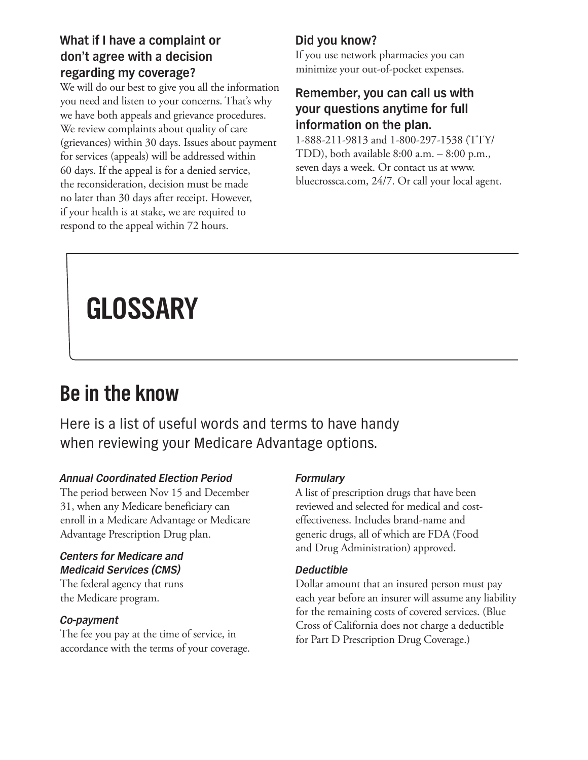# **What if I have a complaint or don't agree with a decision regarding my coverage?**

We will do our best to give you all the information you need and listen to your concerns. That's why we have both appeals and grievance procedures. We review complaints about quality of care (grievances) within 30 days. Issues about payment for services (appeals) will be addressed within 60 days. If the appeal is for a denied service, the reconsideration, decision must be made no later than 30 days after receipt. However, if your health is at stake, we are required to respond to the appeal within 72 hours.

# **Did you know?**

If you use network pharmacies you can minimize your out-of-pocket expenses.

### **Remember, you can call us with your questions anytime for full information on the plan.**

1-888-211-9813 and 1-800-297-1538 (TTY/ TDD), both available  $8:00$  a.m.  $-8:00$  p.m., seven days a week. Or contact us at www. bluecrossca.com, 24/7. Or call your local agent.

# **GLOSSARY**

# **Be in the know**

Here is a list of useful words and terms to have handy when reviewing your Medicare Advantage options.

#### *Annual Coordinated Election Period*

The period between Nov 15 and December 31, when any Medicare beneficiary can enroll in a Medicare Advantage or Medicare Advantage Prescription Drug plan.

#### *Centers for Medicare and Medicaid Services (CMS)*

The federal agency that runs the Medicare program.

#### *Co-payment*

The fee you pay at the time of service, in accordance with the terms of your coverage.

### *Formulary*

A list of prescription drugs that have been reviewed and selected for medical and costeffectiveness. Includes brand-name and generic drugs, all of which are FDA (Food and Drug Administration) approved.

#### *Deductible*

Dollar amount that an insured person must pay each year before an insurer will assume any liability for the remaining costs of covered services. (Blue Cross of California does not charge a deductible for Part D Prescription Drug Coverage.)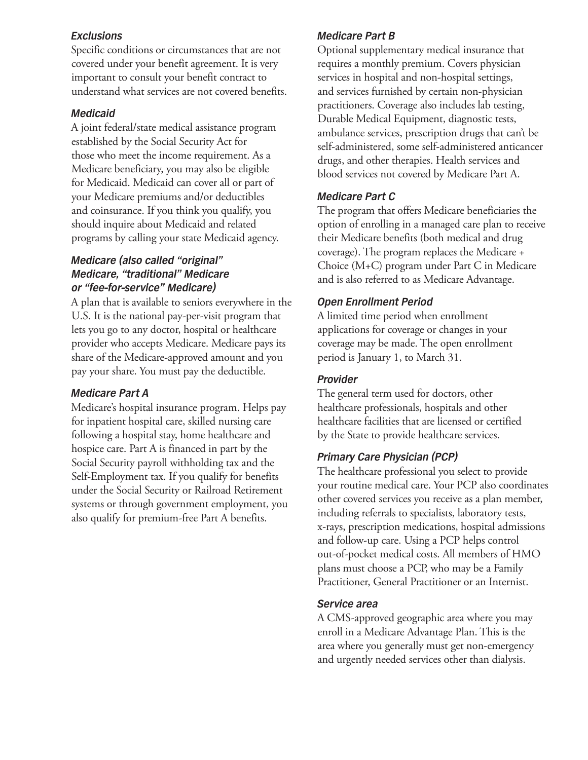#### *Exclusions*

Specific conditions or circumstances that are not covered under your benefit agreement. It is very important to consult your benefit contract to understand what services are not covered benefits.

#### *Medicaid*

A joint federal/state medical assistance program established by the Social Security Act for those who meet the income requirement. As a Medicare beneficiary, you may also be eligible for Medicaid. Medicaid can cover all or part of your Medicare premiums and/or deductibles and coinsurance. If you think you qualify, you should inquire about Medicaid and related programs by calling your state Medicaid agency.

#### *Medicare (also called "original" Medicare, "traditional" Medicare or "fee-for-service" Medicare)*

A plan that is available to seniors everywhere in the U.S. It is the national pay-per-visit program that lets you go to any doctor, hospital or healthcare provider who accepts Medicare. Medicare pays its share of the Medicare-approved amount and you pay your share. You must pay the deductible.

#### *Medicare Part A*

Medicare's hospital insurance program. Helps pay for inpatient hospital care, skilled nursing care following a hospital stay, home healthcare and hospice care. Part A is financed in part by the Social Security payroll withholding tax and the Self-Employment tax. If you qualify for benefits under the Social Security or Railroad Retirement systems or through government employment, you also qualify for premium-free Part A benefits.

#### *Medicare Part B*

Optional supplementary medical insurance that requires a monthly premium. Covers physician services in hospital and non-hospital settings, and services furnished by certain non-physician practitioners. Coverage also includes lab testing, Durable Medical Equipment, diagnostic tests, ambulance services, prescription drugs that can't be self-administered, some self-administered anticancer drugs, and other therapies. Health services and blood services not covered by Medicare Part A.

#### *Medicare Part C*

The program that offers Medicare beneficiaries the option of enrolling in a managed care plan to receive their Medicare benefits (both medical and drug coverage). The program replaces the Medicare + Choice (M+C) program under Part C in Medicare and is also referred to as Medicare Advantage.

#### *Open Enrollment Period*

A limited time period when enrollment applications for coverage or changes in your coverage may be made. The open enrollment period is January 1, to March 31.

#### *Provider*

The general term used for doctors, other healthcare professionals, hospitals and other healthcare facilities that are licensed or certified by the State to provide healthcare services.

#### *Primary Care Physician (PCP)*

The healthcare professional you select to provide your routine medical care. Your PCP also coordinates other covered services you receive as a plan member, including referrals to specialists, laboratory tests, x-rays, prescription medications, hospital admissions and follow-up care. Using a PCP helps control out-of-pocket medical costs. All members of HMO plans must choose a PCP, who may be a Family Practitioner, General Practitioner or an Internist.

#### *Service area*

A CMS-approved geographic area where you may enroll in a Medicare Advantage Plan. This is the area where you generally must get non-emergency and urgently needed services other than dialysis.